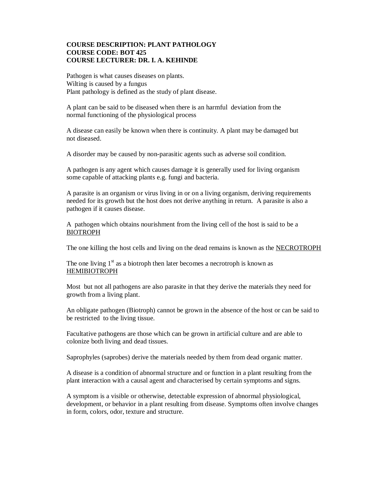## **COURSE DESCRIPTION: PLANT PATHOLOGY COURSE CODE: BOT 425 COURSE LECTURER: DR. I. A. KEHINDE**

Pathogen is what causes diseases on plants. Wilting is caused by a fungus Plant pathology is defined as the study of plant disease.

A plant can be said to be diseased when there is an harmful deviation from the normal functioning of the physiological process

A disease can easily be known when there is continuity. A plant may be damaged but not diseased.

A disorder may be caused by non-parasitic agents such as adverse soil condition.

A pathogen is any agent which causes damage it is generally used for living organism some capable of attacking plants e.g. fungi and bacteria.

A parasite is an organism or virus living in or on a living organism, deriving requirements needed for its growth but the host does not derive anything in return. A parasite is also a pathogen if it causes disease.

A pathogen which obtains nourishment from the living cell of the host is said to be a BIOTROPH

The one killing the host cells and living on the dead remains is known as the NECROTROPH

The one living  $1<sup>st</sup>$  as a biotroph then later becomes a necrotroph is known as HEMIBIOTROPH

Most but not all pathogens are also parasite in that they derive the materials they need for growth from a living plant.

An obligate pathogen (Biotroph) cannot be grown in the absence of the host or can be said to be restricted to the living tissue.

Facultative pathogens are those which can be grown in artificial culture and are able to colonize both living and dead tissues.

Saprophyles (saprobes) derive the materials needed by them from dead organic matter.

A disease is a condition of abnormal structure and or function in a plant resulting from the plant interaction with a causal agent and characterised by certain symptoms and signs.

A symptom is a visible or otherwise, detectable expression of abnormal physiological, development, or behavior in a plant resulting from disease. Symptoms often involve changes in form, colors, odor, texture and structure.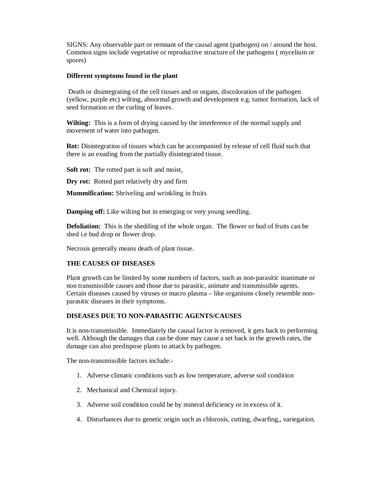SIGNS: Any observable part or remnant of the causal agent (pathogen) on / around the host. Common signs include vegetative or reproductive structure of the pathogens ( mycelium or spores)

#### **Different symptoms found in the plant**

Death or disintegrating of the cell tissues and or organs, discoloration of the pathogen (yellow, purple etc) wilting, abnormal growth and development e.g. tumor formation, lack of seed formation or the curling of leaves.

**Wilting:** This is a form of drying caused by the interference of the normal supply and movement of water into pathogen.

**Rot:** Disintegration of tissues which can be accompanied by release of cell fluid such that there is an exuding from the partially disintegrated tissue.

**Soft rot:** The rotted part is soft and moist.

**Dry rot:** Rotted part relatively dry and firm

**Mummification:** Shriveling and wrinkling in fruits

**Damping off:** Like wilting but in emerging or very young seedling.

**Defoliation:** This is the shedding of the whole organ. The flower or bud of fruits can be shed i.e bud drop or flower drop.

Necrosis generally means death of plant tissue.

### **THE CAUSES OF DISEASES**

Plant growth can be limited by some numbers of factors, such as non-parasitic inanimate or non transmissible causes and those due to parasitic, animate and transmissible agents. Certain diseases caused by viruses or macro plasma – like organisms closely resemble nonparasitic diseases in their symptoms.

# **DISEASES DUE TO NON-PARASITIC AGENTS/CAUSES**

It is non-transmissible. Immediately the causal factor is removed, it gets back to performing well. Although the damages that can be done may cause a set back in the growth rates, the damage can also predispose plants to attack by pathogen.

The non-transmissible factors include:-

- 1. Adverse climatic conditions such as low temperature, adverse soil condition
- 2. Mechanical and Chemical injury.
- 3. Adverse soil condition could be by mineral deficiency or in excess of it.
- 4. Disturbances due to genetic origin such as chlorosis, cutting, dwarfing,, variegation.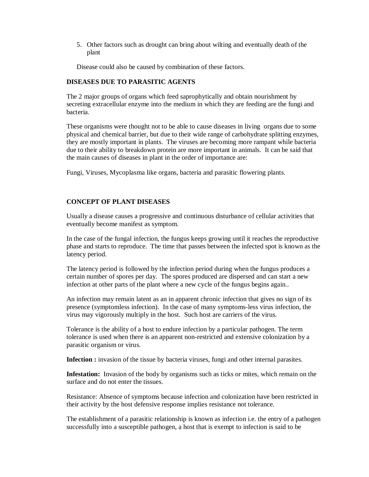5. Other factors such as drought can bring about wilting and eventually death of the plant

Disease could also be caused by combination of these factors.

# **DISEASES DUE TO PARASITIC AGENTS**

The 2 major groups of organs which feed saprophytically and obtain nourishment by secreting extracellular enzyme into the medium in which they are feeding are the fungi and bacteria.

These organisms were thought not to be able to cause diseases in living organs due to some physical and chemical barrier, but due to their wide range of carbohydrate splitting enzymes, they are mostly important in plants. The viruses are becoming more rampant while bacteria due to their ability to breakdown protein are more important in animals. It can be said that the main causes of diseases in plant in the order of importance are:

Fungi, Viruses, Mycoplasma like organs, bacteria and parasitic flowering plants.

#### **CONCEPT OF PLANT DISEASES**

Usually a disease causes a progressive and continuous disturbance of cellular activities that eventually become manifest as symptom.

In the case of the fungal infection, the fungus keeps growing until it reaches the reproductive phase and starts to reproduce. The time that passes between the infected spot is known as the latency period.

The latency period is followed by the infection period during when the fungus produces a certain number of spores per day. The spores produced are dispersed and can start a new infection at other parts of the plant where a new cycle of the fungus begins again..

An infection may remain latent as an in apparent chronic infection that gives no sign of its presence (symptomless infection). In the case of many symptoms-less virus infection, the virus may vigorously multiply in the host. Such host are carriers of the virus.

Tolerance is the ability of a host to endure infection by a particular pathogen. The term tolerance is used when there is an apparent non-restricted and extensive colonization by a parasitic organism or virus.

**Infection :** invasion of the tissue by bacteria viruses, fungi and other internal parasites.

**Infestation:** Invasion of the body by organisms such as ticks or mites, which remain on the surface and do not enter the tissues.

Resistance: Absence of symptoms because infection and colonization have been restricted in their activity by the host defensive response implies resistance not tolerance.

The establishment of a parasitic relationship is known as infection i.e. the entry of a pathogen successfully into a susceptible pathogen, a host that is exempt to infection is said to be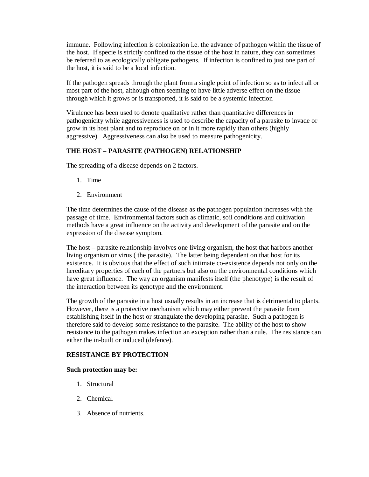immune. Following infection is colonization i.e. the advance of pathogen within the tissue of the host. If specie is strictly confined to the tissue of the host in nature, they can sometimes be referred to as ecologically obligate pathogens. If infection is confined to just one part of the host, it is said to be a local infection.

If the pathogen spreads through the plant from a single point of infection so as to infect all or most part of the host, although often seeming to have little adverse effect on the tissue through which it grows or is transported, it is said to be a systemic infection

Virulence has been used to denote qualitative rather than quantitative differences in pathogenicity while aggressiveness is used to describe the capacity of a parasite to invade or grow in its host plant and to reproduce on or in it more rapidly than others (highly aggressive). Aggressiveness can also be used to measure pathogenicity.

# **THE HOST – PARASITE (PATHOGEN) RELATIONSHIP**

The spreading of a disease depends on 2 factors.

- 1. Time
- 2. Environment

The time determines the cause of the disease as the pathogen population increases with the passage of time. Environmental factors such as climatic, soil conditions and cultivation methods have a great influence on the activity and development of the parasite and on the expression of the disease symptom.

The host – parasite relationship involves one living organism, the host that harbors another living organism or virus ( the parasite). The latter being dependent on that host for its existence. It is obvious that the effect of such intimate co-existence depends not only on the hereditary properties of each of the partners but also on the environmental conditions which have great influence. The way an organism manifests itself (the phenotype) is the result of the interaction between its genotype and the environment.

The growth of the parasite in a host usually results in an increase that is detrimental to plants. However, there is a protective mechanism which may either prevent the parasite from establishing itself in the host or strangulate the developing parasite. Such a pathogen is therefore said to develop some resistance to the parasite. The ability of the host to show resistance to the pathogen makes infection an exception rather than a rule. The resistance can either the in-built or induced (defence).

# **RESISTANCE BY PROTECTION**

### **Such protection may be:**

- 1. Structural
- 2. Chemical
- 3. Absence of nutrients.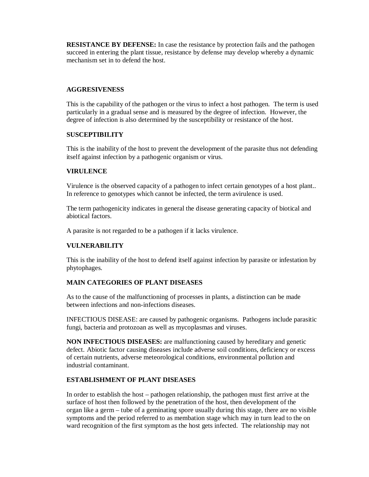**RESISTANCE BY DEFENSE:** In case the resistance by protection fails and the pathogen succeed in entering the plant tissue, resistance by defense may develop whereby a dynamic mechanism set in to defend the host.

# **AGGRESIVENESS**

This is the capability of the pathogen or the virus to infect a host pathogen. The term is used particularly in a gradual sense and is measured by the degree of infection. However, the degree of infection is also determined by the susceptibility or resistance of the host.

# **SUSCEPTIBILITY**

This is the inability of the host to prevent the development of the parasite thus not defending itself against infection by a pathogenic organism or virus.

### **VIRULENCE**

Virulence is the observed capacity of a pathogen to infect certain genotypes of a host plant.. In reference to genotypes which cannot be infected, the term avirulence is used.

The term pathogenicity indicates in general the disease generating capacity of biotical and abiotical factors.

A parasite is not regarded to be a pathogen if it lacks virulence.

# **VULNERABILITY**

This is the inability of the host to defend itself against infection by parasite or infestation by phytophages.

# **MAIN CATEGORIES OF PLANT DISEASES**

As to the cause of the malfunctioning of processes in plants, a distinction can be made between infections and non-infections diseases.

INFECTIOUS DISEASE: are caused by pathogenic organisms. Pathogens include parasitic fungi, bacteria and protozoan as well as mycoplasmas and viruses.

**NON INFECTIOUS DISEASES:** are malfunctioning caused by hereditary and genetic defect. Abiotic factor causing diseases include adverse soil conditions, deficiency or excess of certain nutrients, adverse meteorological conditions, environmental pollution and industrial contaminant.

### **ESTABLISHMENT OF PLANT DISEASES**

In order to establish the host – pathogen relationship, the pathogen must first arrive at the surface of host then followed by the penetration of the host, then development of the organ like a germ – tube of a geminating spore usually during this stage, there are no visible symptoms and the period referred to as membation stage which may in turn lead to the on ward recognition of the first symptom as the host gets infected. The relationship may not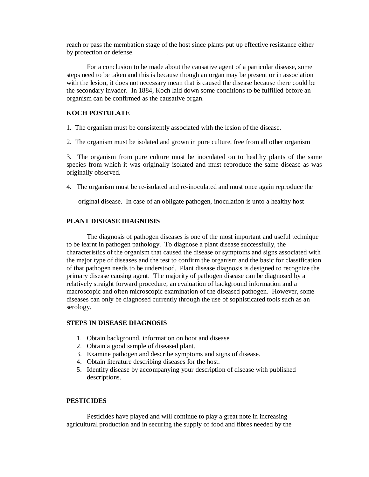reach or pass the membation stage of the host since plants put up effective resistance either by protection or defense. .

For a conclusion to be made about the causative agent of a particular disease, some steps need to be taken and this is because though an organ may be present or in association with the lesion, it does not necessary mean that is caused the disease because there could be the secondary invader. In 1884, Koch laid down some conditions to be fulfilled before an organism can be confirmed as the causative organ.

### **KOCH POSTULATE**

1. The organism must be consistently associated with the lesion of the disease.

2. The organism must be isolated and grown in pure culture, free from all other organism

3. The organism from pure culture must be inoculated on to healthy plants of the same species from which it was originally isolated and must reproduce the same disease as was originally observed.

4. The organism must be re-isolated and re-inoculated and must once again reproduce the

original disease. In case of an obligate pathogen, inoculation is unto a healthy host

#### **PLANT DISEASE DIAGNOSIS**

The diagnosis of pathogen diseases is one of the most important and useful technique to be learnt in pathogen pathology. To diagnose a plant disease successfully, the characteristics of the organism that caused the disease or symptoms and signs associated with the major type of diseases and the test to confirm the organism and the basic for classification of that pathogen needs to be understood. Plant disease diagnosis is designed to recognize the primary disease causing agent. The majority of pathogen disease can be diagnosed by a relatively straight forward procedure, an evaluation of background information and a macroscopic and often microscopic examination of the diseased pathogen. However, some diseases can only be diagnosed currently through the use of sophisticated tools such as an serology.

#### **STEPS IN DISEASE DIAGNOSIS**

- 1. Obtain background, information on hoot and disease
- 2. Obtain a good sample of diseased plant.
- 3. Examine pathogen and describe symptoms and signs of disease.
- 4. Obtain literature describing diseases for the host.
- 5. Identify disease by accompanying your description of disease with published descriptions.

#### **PESTICIDES**

Pesticides have played and will continue to play a great note in increasing agricultural production and in securing the supply of food and fibres needed by the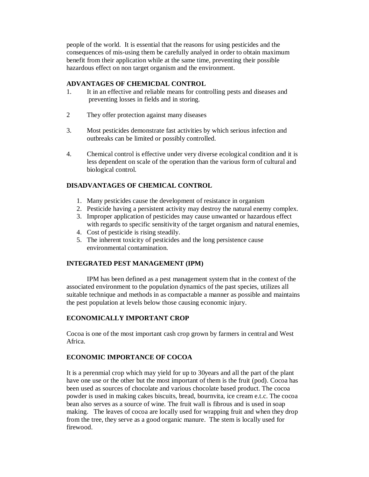people of the world. It is essential that the reasons for using pesticides and the consequences of mis-using them be carefully analyed in order to obtain maximum benefit from their application while at the same time, preventing their possible hazardous effect on non target organism and the environment.

### **ADVANTAGES OF CHEMICDAL CONTROL**

- 1. It in an effective and reliable means for controlling pests and diseases and preventing losses in fields and in storing.
- 2 They offer protection against many diseases
- 3. Most pesticides demonstrate fast activities by which serious infection and outbreaks can be limited or possibly controlled.
- 4. Chemical control is effective under very diverse ecological condition and it is less dependent on scale of the operation than the various form of cultural and biological control.

# **DISADVANTAGES OF CHEMICAL CONTROL**

- 1. Many pesticides cause the development of resistance in organism
- 2. Pesticide having a persistent activity may destroy the natural enemy complex.
- 3. Improper application of pesticides may cause unwanted or hazardous effect with regards to specific sensitivity of the target organism and natural enemies,
- 4. Cost of pesticide is rising steadily.
- 5. The inherent toxicity of pesticides and the long persistence cause environmental contamination.

### **INTEGRATED PEST MANAGEMENT (IPM)**

IPM has been defined as a pest management system that in the context of the associated environment to the population dynamics of the past species, utilizes all suitable technique and methods in as compactable a manner as possible and maintains the pest population at levels below those causing economic injury.

### **ECONOMICALLY IMPORTANT CROP**

Cocoa is one of the most important cash crop grown by farmers in central and West Africa.

## **ECONOMIC IMPORTANCE OF COCOA**

It is a perenmial crop which may yield for up to 30years and all the part of the plant have one use or the other but the most important of them is the fruit (pod). Cocoa has been used as sources of chocolate and various chocolate based product. The cocoa powder is used in making cakes biscuits, bread, bournvita, ice cream e.t.c. The cocoa bean also serves as a source of wine. The fruit wall is fibrous and is used in soap making. The leaves of cocoa are locally used for wrapping fruit and when they drop from the tree, they serve as a good organic manure. The stem is locally used for firewood.